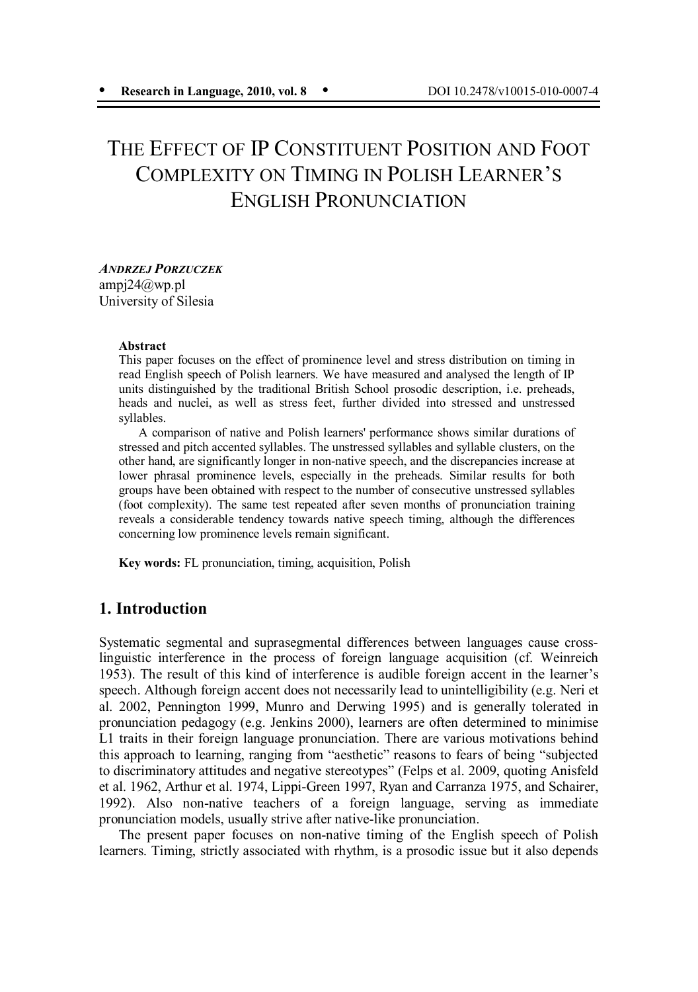# THE EFFECT OF IP CONSTITUENT POSITION AND FOOT COMPLEXITY ON TIMING IN POLISH LEARNER'S ENGLISH PRONUNCIATION

*ANDRZEJ PORZUCZEK* ampj24@wp.pl University of Silesia

#### **Abstract**

This paper focuses on the effect of prominence level and stress distribution on timing in read English speech of Polish learners. We have measured and analysed the length of IP units distinguished by the traditional British School prosodic description, i.e. preheads, heads and nuclei, as well as stress feet, further divided into stressed and unstressed syllables.

A comparison of native and Polish learners' performance shows similar durations of stressed and pitch accented syllables. The unstressed syllables and syllable clusters, on the other hand, are significantly longer in non-native speech, and the discrepancies increase at lower phrasal prominence levels, especially in the preheads. Similar results for both groups have been obtained with respect to the number of consecutive unstressed syllables (foot complexity). The same test repeated after seven months of pronunciation training reveals a considerable tendency towards native speech timing, although the differences concerning low prominence levels remain significant.

**Key words:** FL pronunciation, timing, acquisition, Polish

# **1. Introduction**

Systematic segmental and suprasegmental differences between languages cause crosslinguistic interference in the process of foreign language acquisition (cf. Weinreich 1953). The result of this kind of interference is audible foreign accent in the learner's speech. Although foreign accent does not necessarily lead to unintelligibility (e.g. Neri et al. 2002, Pennington 1999, Munro and Derwing 1995) and is generally tolerated in pronunciation pedagogy (e.g. Jenkins 2000), learners are often determined to minimise L1 traits in their foreign language pronunciation. There are various motivations behind this approach to learning, ranging from "aesthetic" reasons to fears of being "subjected to discriminatory attitudes and negative stereotypes" (Felps et al. 2009, quoting Anisfeld et al. 1962, Arthur et al. 1974, Lippi-Green 1997, Ryan and Carranza 1975, and Schairer, 1992). Also non-native teachers of a foreign language, serving as immediate pronunciation models, usually strive after native-like pronunciation.

The present paper focuses on non-native timing of the English speech of Polish learners. Timing, strictly associated with rhythm, is a prosodic issue but it also depends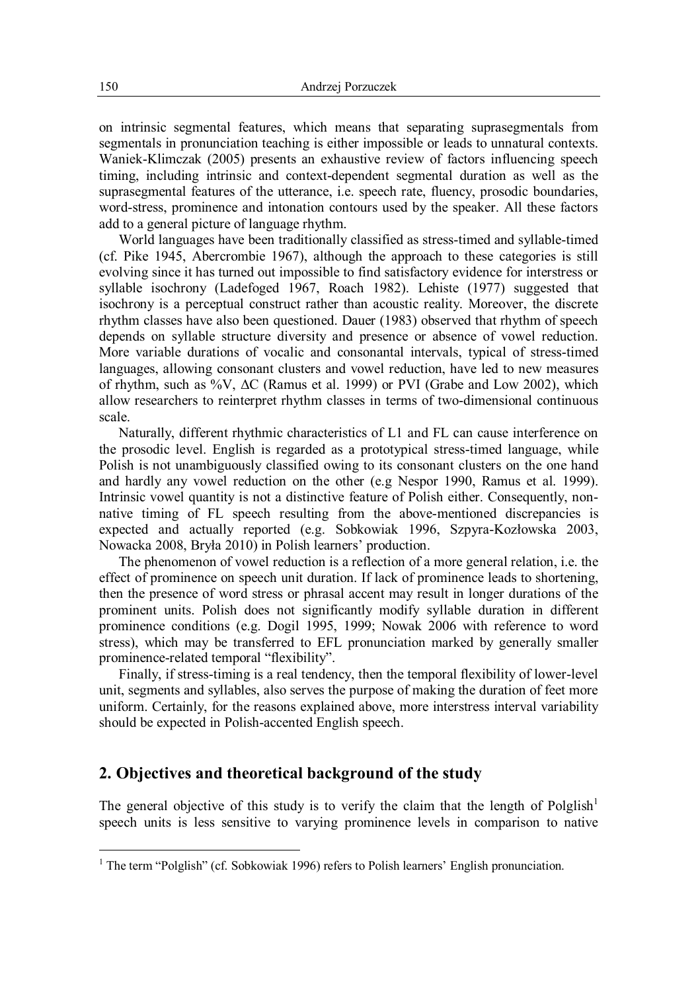on intrinsic segmental features, which means that separating suprasegmentals from segmentals in pronunciation teaching is either impossible or leads to unnatural contexts. Waniek-Klimczak (2005) presents an exhaustive review of factors influencing speech timing, including intrinsic and context-dependent segmental duration as well as the suprasegmental features of the utterance, i.e. speech rate, fluency, prosodic boundaries, word-stress, prominence and intonation contours used by the speaker. All these factors add to a general picture of language rhythm.

World languages have been traditionally classified as stress-timed and syllable-timed (cf. Pike 1945, Abercrombie 1967), although the approach to these categories is still evolving since it has turned out impossible to find satisfactory evidence for interstress or syllable isochrony (Ladefoged 1967, Roach 1982). Lehiste (1977) suggested that isochrony is a perceptual construct rather than acoustic reality. Moreover, the discrete rhythm classes have also been questioned. Dauer (1983) observed that rhythm of speech depends on syllable structure diversity and presence or absence of vowel reduction. More variable durations of vocalic and consonantal intervals, typical of stress-timed languages, allowing consonant clusters and vowel reduction, have led to new measures of rhythm, such as %V, ΔC (Ramus et al. 1999) or PVI (Grabe and Low 2002), which allow researchers to reinterpret rhythm classes in terms of two-dimensional continuous scale.

Naturally, different rhythmic characteristics of L1 and FL can cause interference on the prosodic level. English is regarded as a prototypical stress-timed language, while Polish is not unambiguously classified owing to its consonant clusters on the one hand and hardly any vowel reduction on the other (e.g Nespor 1990, Ramus et al. 1999). Intrinsic vowel quantity is not a distinctive feature of Polish either. Consequently, nonnative timing of FL speech resulting from the above-mentioned discrepancies is expected and actually reported (e.g. Sobkowiak 1996, Szpyra-Kozłowska 2003, Nowacka 2008, Bryła 2010) in Polish learners' production.

The phenomenon of vowel reduction is a reflection of a more general relation, i.e. the effect of prominence on speech unit duration. If lack of prominence leads to shortening, then the presence of word stress or phrasal accent may result in longer durations of the prominent units. Polish does not significantly modify syllable duration in different prominence conditions (e.g. Dogil 1995, 1999; Nowak 2006 with reference to word stress), which may be transferred to EFL pronunciation marked by generally smaller prominence-related temporal "flexibility".

Finally, if stress-timing is a real tendency, then the temporal flexibility of lower-level unit, segments and syllables, also serves the purpose of making the duration of feet more uniform. Certainly, for the reasons explained above, more interstress interval variability should be expected in Polish-accented English speech.

#### **2. Objectives and theoretical background of the study**

The general objective of this study is to verify the claim that the length of Polglish<sup>1</sup> speech units is less sensitive to varying prominence levels in comparison to native

 $\overline{a}$ 

 $<sup>1</sup>$  The term "Polglish" (cf. Sobkowiak 1996) refers to Polish learners' English pronunciation.</sup>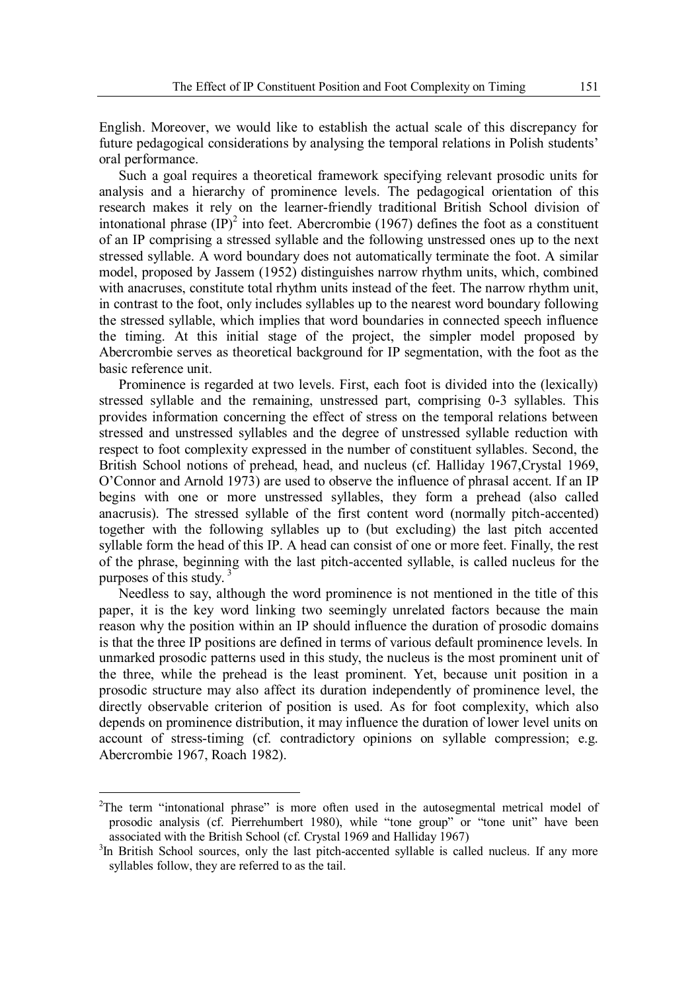English. Moreover, we would like to establish the actual scale of this discrepancy for future pedagogical considerations by analysing the temporal relations in Polish students' oral performance.

Such a goal requires a theoretical framework specifying relevant prosodic units for analysis and a hierarchy of prominence levels. The pedagogical orientation of this research makes it rely on the learner-friendly traditional British School division of intonational phrase  $(IP)^2$  into feet. Abercrombie (1967) defines the foot as a constituent of an IP comprising a stressed syllable and the following unstressed ones up to the next stressed syllable. A word boundary does not automatically terminate the foot. A similar model, proposed by Jassem (1952) distinguishes narrow rhythm units, which, combined with anacruses, constitute total rhythm units instead of the feet. The narrow rhythm unit, in contrast to the foot, only includes syllables up to the nearest word boundary following the stressed syllable, which implies that word boundaries in connected speech influence the timing. At this initial stage of the project, the simpler model proposed by Abercrombie serves as theoretical background for IP segmentation, with the foot as the basic reference unit.

Prominence is regarded at two levels. First, each foot is divided into the (lexically) stressed syllable and the remaining, unstressed part, comprising 0-3 syllables. This provides information concerning the effect of stress on the temporal relations between stressed and unstressed syllables and the degree of unstressed syllable reduction with respect to foot complexity expressed in the number of constituent syllables. Second, the British School notions of prehead, head, and nucleus (cf. Halliday 1967,Crystal 1969, O'Connor and Arnold 1973) are used to observe the influence of phrasal accent. If an IP begins with one or more unstressed syllables, they form a prehead (also called anacrusis). The stressed syllable of the first content word (normally pitch-accented) together with the following syllables up to (but excluding) the last pitch accented syllable form the head of this IP. A head can consist of one or more feet. Finally, the rest of the phrase, beginning with the last pitch-accented syllable, is called nucleus for the purposes of this study.  $3$ 

Needless to say, although the word prominence is not mentioned in the title of this paper, it is the key word linking two seemingly unrelated factors because the main reason why the position within an IP should influence the duration of prosodic domains is that the three IP positions are defined in terms of various default prominence levels. In unmarked prosodic patterns used in this study, the nucleus is the most prominent unit of the three, while the prehead is the least prominent. Yet, because unit position in a prosodic structure may also affect its duration independently of prominence level, the directly observable criterion of position is used. As for foot complexity, which also depends on prominence distribution, it may influence the duration of lower level units on account of stress-timing (cf. contradictory opinions on syllable compression; e.g. Abercrombie 1967, Roach 1982).

 $\overline{a}$ 

<sup>&</sup>lt;sup>2</sup>The term "intonational phrase" is more often used in the autosegmental metrical model of prosodic analysis (cf. Pierrehumbert 1980), while "tone group" or "tone unit" have been associated with the British School (cf. Crystal 1969 and Halliday 1967)

<sup>&</sup>lt;sup>3</sup>In British School sources, only the last pitch-accented syllable is called nucleus. If any more syllables follow, they are referred to as the tail.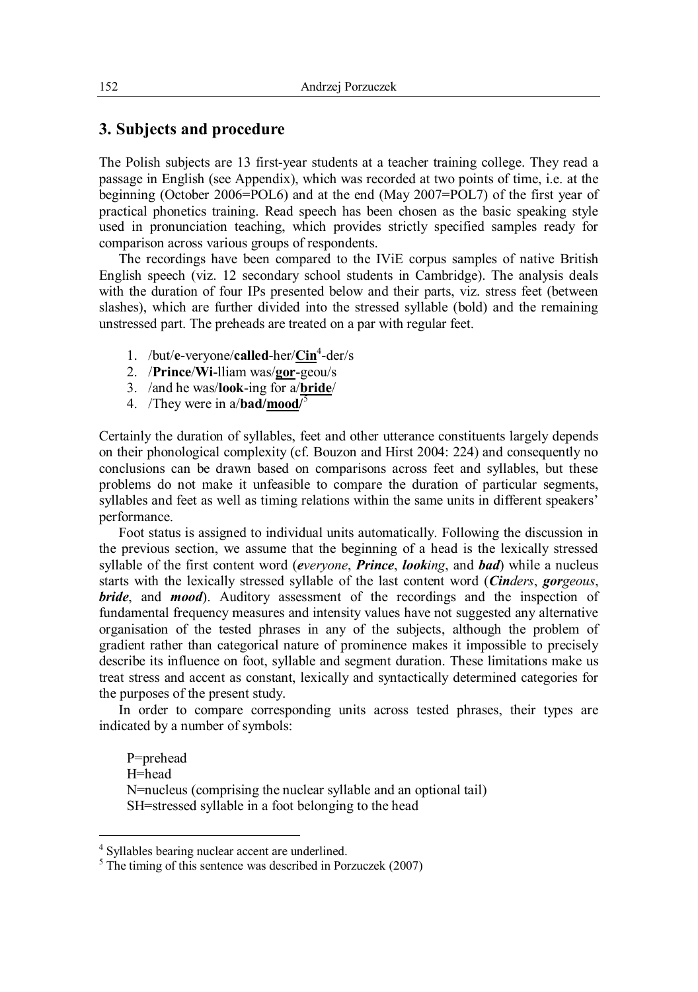## **3. Subjects and procedure**

The Polish subjects are 13 first-year students at a teacher training college. They read a passage in English (see Appendix), which was recorded at two points of time, i.e. at the beginning (October 2006=POL6) and at the end (May 2007=POL7) of the first year of practical phonetics training. Read speech has been chosen as the basic speaking style used in pronunciation teaching, which provides strictly specified samples ready for comparison across various groups of respondents.

The recordings have been compared to the IViE corpus samples of native British English speech (viz. 12 secondary school students in Cambridge). The analysis deals with the duration of four IPs presented below and their parts, viz. stress feet (between slashes), which are further divided into the stressed syllable (bold) and the remaining unstressed part. The preheads are treated on a par with regular feet.

- 1. /but/**e**-veryone/**called**-her/**Cin**<sup>4</sup> -der/s
- 2. /**Prince**/**Wi**-lliam was/**gor**-geou/s
- 3. /and he was/**look**-ing for a/**bride**/
- 4. /They were in a/**bad/mood/** 5

Certainly the duration of syllables, feet and other utterance constituents largely depends on their phonological complexity (cf. Bouzon and Hirst 2004: 224) and consequently no conclusions can be drawn based on comparisons across feet and syllables, but these problems do not make it unfeasible to compare the duration of particular segments, syllables and feet as well as timing relations within the same units in different speakers' performance.

Foot status is assigned to individual units automatically. Following the discussion in the previous section, we assume that the beginning of a head is the lexically stressed syllable of the first content word (*everyone*, *Prince*, *looking*, and *bad*) while a nucleus starts with the lexically stressed syllable of the last content word (*Cinders*, *gorgeous*, *bride*, and *mood*). Auditory assessment of the recordings and the inspection of fundamental frequency measures and intensity values have not suggested any alternative organisation of the tested phrases in any of the subjects, although the problem of gradient rather than categorical nature of prominence makes it impossible to precisely describe its influence on foot, syllable and segment duration. These limitations make us treat stress and accent as constant, lexically and syntactically determined categories for the purposes of the present study.

In order to compare corresponding units across tested phrases, their types are indicated by a number of symbols:

P=prehead H=head N=nucleus (comprising the nuclear syllable and an optional tail) SH=stressed syllable in a foot belonging to the head

 $\overline{a}$ 

<sup>4</sup> Syllables bearing nuclear accent are underlined.

 $5$  The timing of this sentence was described in Porzuczek (2007)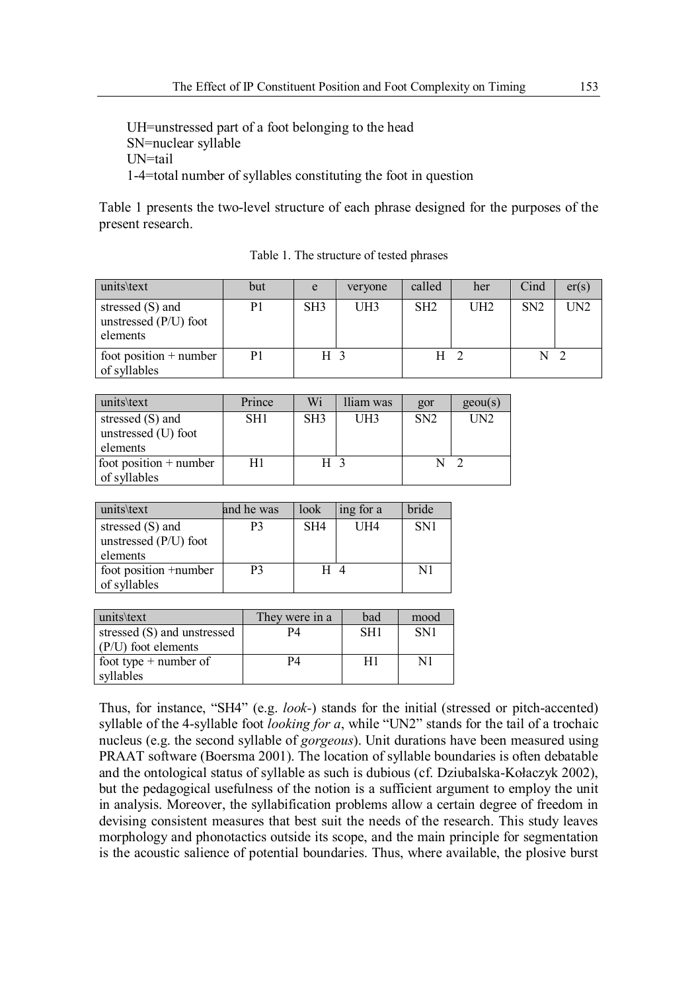UH=unstressed part of a foot belonging to the head SN=nuclear syllable UN=tail 1-4=total number of syllables constituting the foot in question

Table 1 presents the two-level structure of each phrase designed for the purposes of the present research.

| units\text                                              | but | e               | veryone | called          | her             | Cind            | er(s) |
|---------------------------------------------------------|-----|-----------------|---------|-----------------|-----------------|-----------------|-------|
| stressed (S) and<br>unstressed $(P/U)$ foot<br>elements | Ρ1  | SH <sub>3</sub> | UH3     | SH <sub>2</sub> | UH <sub>2</sub> | SN <sub>2</sub> | UN2   |
| foot position $+$ number<br>of syllables                | P1  | H 3             |         |                 |                 |                 |       |

Table 1. The structure of tested phrases

| units\text                                          | Prince          | Wi              | lliam was | gor             | geou(s) |
|-----------------------------------------------------|-----------------|-----------------|-----------|-----------------|---------|
| stressed (S) and<br>unstressed (U) foot<br>elements | SH <sub>1</sub> | SH <sub>3</sub> | UH3       | SN <sub>2</sub> | UN2     |
| foot position $+$ number<br>of syllables            | H1              | H <sub>3</sub>  |           |                 |         |

| units\text                                                | and he was | look            | ing for a | bride           |
|-----------------------------------------------------------|------------|-----------------|-----------|-----------------|
| stressed $(S)$ and<br>unstressed $(P/U)$ foot<br>elements | P3         | SH <sub>4</sub> | UH4       | SN <sub>1</sub> |
| foot position +number<br>of syllables                     | P3         | H 4             |           | N1              |

| units\text                  | They were in a | bad             | mood            |
|-----------------------------|----------------|-----------------|-----------------|
| stressed (S) and unstressed | P4             | SH <sub>1</sub> | SN <sub>1</sub> |
| $(P/U)$ foot elements       |                |                 |                 |
| foot type $+$ number of     | P4             | H1              | N1              |
| syllables                   |                |                 |                 |

Thus, for instance, "SH4" (e.g. *look-*) stands for the initial (stressed or pitch-accented) syllable of the 4-syllable foot *looking for a*, while "UN2" stands for the tail of a trochaic nucleus (e.g. the second syllable of *gorgeous*). Unit durations have been measured using PRAAT software (Boersma 2001). The location of syllable boundaries is often debatable and the ontological status of syllable as such is dubious (cf. Dziubalska-Kołaczyk 2002), but the pedagogical usefulness of the notion is a sufficient argument to employ the unit in analysis. Moreover, the syllabification problems allow a certain degree of freedom in devising consistent measures that best suit the needs of the research. This study leaves morphology and phonotactics outside its scope, and the main principle for segmentation is the acoustic salience of potential boundaries. Thus, where available, the plosive burst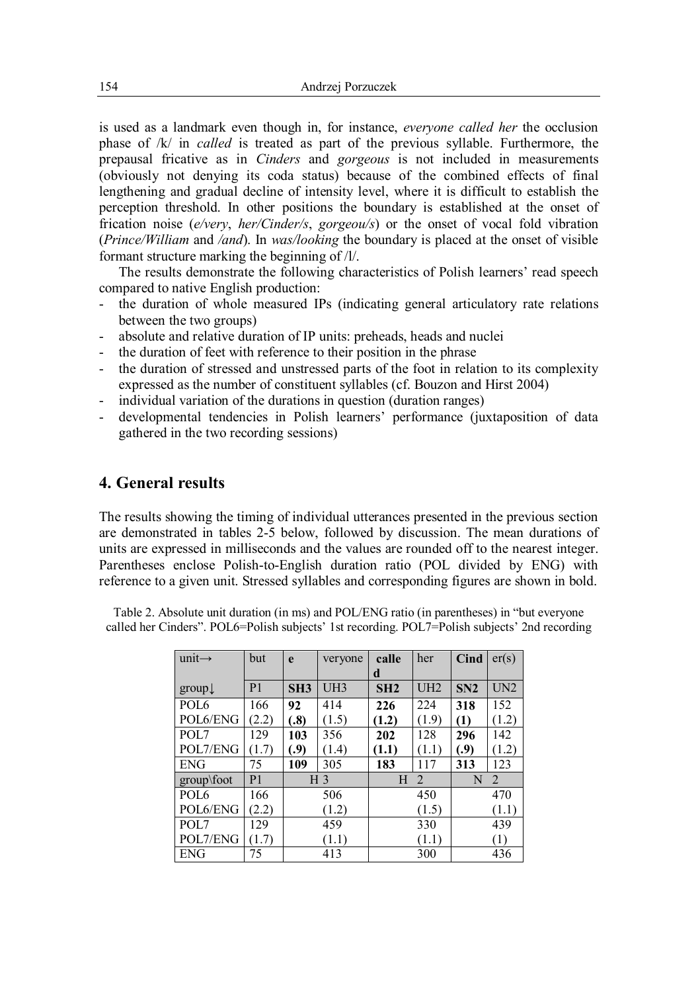is used as a landmark even though in, for instance, *everyone called her* the occlusion phase of /k/ in *called* is treated as part of the previous syllable. Furthermore, the prepausal fricative as in *Cinders* and *gorgeous* is not included in measurements (obviously not denying its coda status) because of the combined effects of final lengthening and gradual decline of intensity level, where it is difficult to establish the perception threshold. In other positions the boundary is established at the onset of frication noise (*e/very*, *her/Cinder/s*, *gorgeou/s*) or the onset of vocal fold vibration (*Prince/William* and */and*). In *was/looking* the boundary is placed at the onset of visible formant structure marking the beginning of /l/.

The results demonstrate the following characteristics of Polish learners' read speech compared to native English production:

- the duration of whole measured IPs (indicating general articulatory rate relations between the two groups)
- absolute and relative duration of IP units: preheads, heads and nuclei
- the duration of feet with reference to their position in the phrase
- the duration of stressed and unstressed parts of the foot in relation to its complexity expressed as the number of constituent syllables (cf. Bouzon and Hirst 2004)
- individual variation of the durations in question (duration ranges)
- developmental tendencies in Polish learners' performance (juxtaposition of data gathered in the two recording sessions)

#### **4. General results**

The results showing the timing of individual utterances presented in the previous section are demonstrated in tables 2-5 below, followed by discussion. The mean durations of units are expressed in milliseconds and the values are rounded off to the nearest integer. Parentheses enclose Polish-to-English duration ratio (POL divided by ENG) with reference to a given unit. Stressed syllables and corresponding figures are shown in bold.

Table 2. Absolute unit duration (in ms) and POL/ENG ratio (in parentheses) in "but everyone called her Cinders". POL6=Polish subjects' 1st recording. POL7=Polish subjects' 2nd recording

| unit $\rightarrow$ | but            | e    | veryone | calle | her             | Cind | er(s)          |
|--------------------|----------------|------|---------|-------|-----------------|------|----------------|
|                    |                |      |         | d     |                 |      |                |
| $group\downarrow$  | P <sub>1</sub> | SH3  | UH3     | SH2   | UH <sub>2</sub> | SN2  | UN2            |
| POL <sub>6</sub>   | 166            | 92   | 414     | 226   | 224             | 318  | 152            |
| POL6/ENG           | (2.2)          | (.8) | (1.5)   | (1.2) | (1.9)           | (1)  | (1.2)          |
| POL7               | 129            | 103  | 356     | 202   | 128             | 296  | 142            |
| POL7/ENG           | (1.7)          | (.9) | (1.4)   | (1.1) | (1.1)           | (.9) | (1.2)          |
| <b>ENG</b>         | 75             | 109  | 305     | 183   | 117             | 313  | 123            |
| group\foot         | P <sub>1</sub> |      | $H_3$   | Н     | $\mathfrak{D}$  | N    | $\mathfrak{D}$ |
| POL <sub>6</sub>   | 166            |      | 506     |       | 450             |      | 470            |
| POL6/ENG           | (2.2)          |      | (1.2)   |       | (1.5)           |      | (1.1)          |
| POL7               | 129            |      | 459     |       | 330             |      | 439            |
| POL7/ENG           | (1.7)          |      | (1.1)   |       | (1.1)           |      | (1)            |
| <b>ENG</b>         | 75             |      | 413     |       | 300             |      | 436            |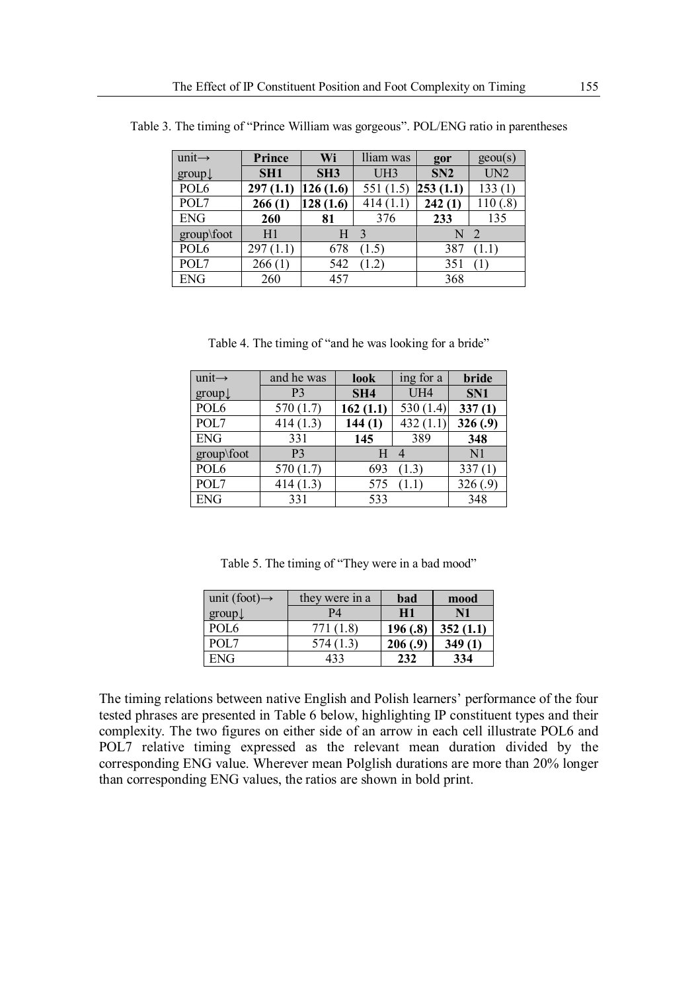| unit $\rightarrow$ | Prince   | Wi        | lliam was    | gor      | geou(s)       |
|--------------------|----------|-----------|--------------|----------|---------------|
| $group \downarrow$ | SH1      | SH3       | UH3          | SN2      | UN2           |
| POL <sub>6</sub>   | 297(1.1) | 126 (1.6) | 551(1.5)     | 253(1.1) | 133(1)        |
| POL7               | 266(1)   | 128 (1.6) | 414 $(1.1)$  | 242(1)   | 110(.8)       |
| <b>ENG</b>         | 260      | 81        | 376          | 233      | 135           |
| group\foot         | H1       | Н         | $\mathbf{R}$ | N        | $\mathcal{D}$ |
| POL <sub>6</sub>   | 297(1.1) | 678       | (1.5)        | 387      | (1.1)         |
| POL7               | 266(1)   | 542       | (1.2)        | 351      |               |
| <b>ENG</b>         | 260      | 457       |              | 368      |               |

Table 3. The timing of "Prince William was gorgeous". POL/ENG ratio in parentheses

Table 4. The timing of "and he was looking for a bride"

| unit $\rightarrow$ | and he was     | look     | ing for a       | bride           |
|--------------------|----------------|----------|-----------------|-----------------|
| $group\downarrow$  | P <sub>3</sub> | SH4      | UH <sub>4</sub> | SN <sub>1</sub> |
| POL <sub>6</sub>   | 570 (1.7)      | 162(1.1) | 530 $(1.4)$     | 337(1)          |
| POL7               | 414(1.3)       | 144(1)   | 432(1.1)        | 326(.9)         |
| <b>ENG</b>         | 331            | 145      | 389             | 348             |
| group\foot         | P <sub>3</sub> | H        |                 | N <sub>1</sub>  |
| POL <sub>6</sub>   | 570(1.7)       | 693      | (1.3)           | 337(1)          |
| POL7               | 414(1.3)       | 575      | (1.1)           | 326(.9)         |
| <b>ENG</b>         | 331            | 533      |                 | 348             |

Table 5. The timing of "They were in a bad mood"

| unit (foot) $\rightarrow$ | they were in a | bad     | mood     |
|---------------------------|----------------|---------|----------|
| $group\downarrow$         | <b>P4</b>      | H1      | N1       |
| POL <sub>6</sub>          | 771 (1.8)      | 196(.8) | 352(1.1) |
| POL7                      | 574(1.3)       | 206(.9) | 349(1)   |
| <b>ENG</b>                | 433            | 232     | 334      |

The timing relations between native English and Polish learners' performance of the four tested phrases are presented in Table 6 below, highlighting IP constituent types and their complexity. The two figures on either side of an arrow in each cell illustrate POL6 and POL7 relative timing expressed as the relevant mean duration divided by the corresponding ENG value. Wherever mean Polglish durations are more than 20% longer than corresponding ENG values, the ratios are shown in bold print.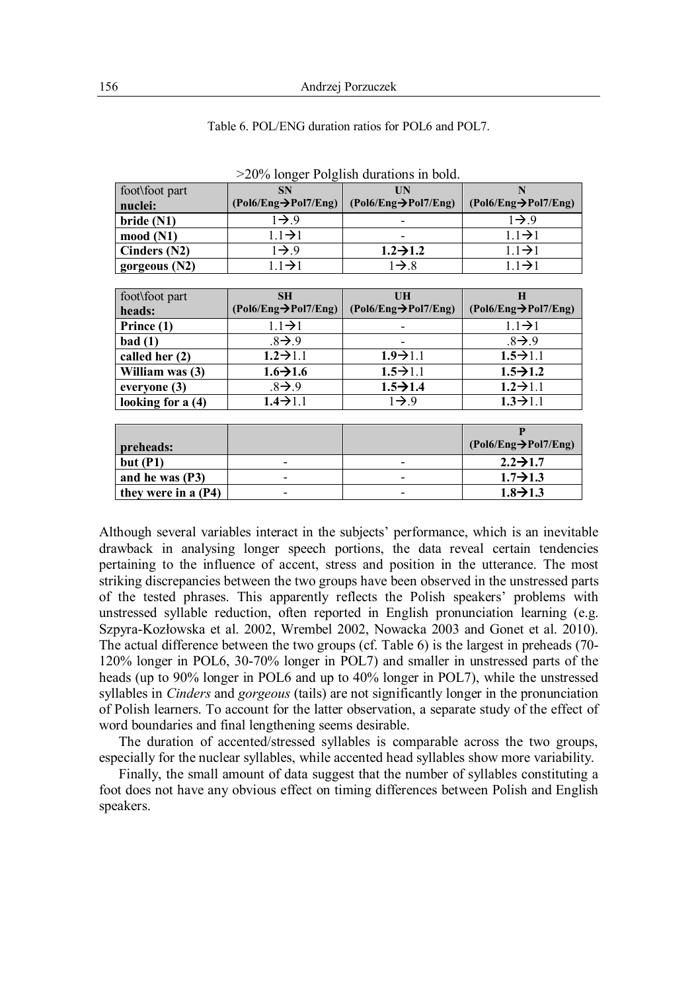| $>20\%$ longer Polglish durations in bold. |                                   |                                   |                                   |  |  |  |  |
|--------------------------------------------|-----------------------------------|-----------------------------------|-----------------------------------|--|--|--|--|
| foot\foot part                             | SN                                | ΠN                                |                                   |  |  |  |  |
| nuclei:                                    | $(Pol6/Eng \rightarrow Pol7/Eng)$ | $(Pol6/Eng \rightarrow Pol7/Eng)$ | $(Pol6/Eng \rightarrow Pol7/Eng)$ |  |  |  |  |
| bride(M1)                                  | $1\rightarrow 9$                  |                                   | $1\rightarrow 9$                  |  |  |  |  |
| $\mod(N1)$                                 | $1.1\rightarrow 1$                |                                   | $1.1\rightarrow 1$                |  |  |  |  |
| Cinders $(N2)$                             | $1\rightarrow 9$                  | $1.2 \rightarrow 1.2$             | $1.1\rightarrow 1$                |  |  |  |  |
| gorgeous (N2)                              | $1.1\rightarrow 1$                | $1\rightarrow 8$                  | $1.1 \rightarrow 1$               |  |  |  |  |
|                                            |                                   |                                   |                                   |  |  |  |  |

| foot\foot part      | <b>SH</b>                         | UH                                |                                   |
|---------------------|-----------------------------------|-----------------------------------|-----------------------------------|
| heads:              | $(Pol6/Eng \rightarrow Pol7/Eng)$ | $(Pol6/Eng \rightarrow Pol7/Eng)$ | $(Pol6/Eng \rightarrow Pol7/Eng)$ |
| Prince (1)          | $1.1 \rightarrow 1$               |                                   | $1.1\rightarrow 1$                |
| bad(1)              | $.8\rightarrow .9$                |                                   | $.8\rightarrow .9$                |
| called her (2)      | $1.2 \rightarrow 1.1$             | $1.9 \rightarrow 1.1$             | $1.5 \rightarrow 1.1$             |
| William was (3)     | $1.6 \rightarrow 1.6$             | $1.5 \rightarrow 1.1$             | $1.5 \rightarrow 1.2$             |
| everyone $(3)$      | $.8\rightarrow .9$                | $1.5 \rightarrow 1.4$             | $1.2 \rightarrow 1.1$             |
| looking for a $(4)$ | $1.4 \rightarrow 1.1$             | $1\rightarrow 9$                  | $1.3 \rightarrow 1.1$             |
|                     |                                   |                                   |                                   |

|   |   | $(Pol6/Eng \rightarrow Pol7/Eng)$ |
|---|---|-----------------------------------|
|   | - | $2.2 \rightarrow 1.7$             |
| - | - | $1.7 \rightarrow 1.3$             |
|   | - | $1.8 \rightarrow 1.3$             |
|   |   |                                   |

Although several variables interact in the subjects' performance, which is an inevitable drawback in analysing longer speech portions, the data reveal certain tendencies pertaining to the influence of accent, stress and position in the utterance. The most striking discrepancies between the two groups have been observed in the unstressed parts of the tested phrases. This apparently reflects the Polish speakers' problems with unstressed syllable reduction, often reported in English pronunciation learning (e.g. Szpyra-Kozłowska et al. 2002, Wrembel 2002, Nowacka 2003 and Gonet et al. 2010). The actual difference between the two groups (cf. Table 6) is the largest in preheads (70- 120% longer in POL6, 30-70% longer in POL7) and smaller in unstressed parts of the heads (up to 90% longer in POL6 and up to 40% longer in POL7), while the unstressed syllables in *Cinders* and *gorgeous* (tails) are not significantly longer in the pronunciation of Polish learners. To account for the latter observation, a separate study of the effect of word boundaries and final lengthening seems desirable.

The duration of accented/stressed syllables is comparable across the two groups, especially for the nuclear syllables, while accented head syllables show more variability.

Finally, the small amount of data suggest that the number of syllables constituting a foot does not have any obvious effect on timing differences between Polish and English speakers.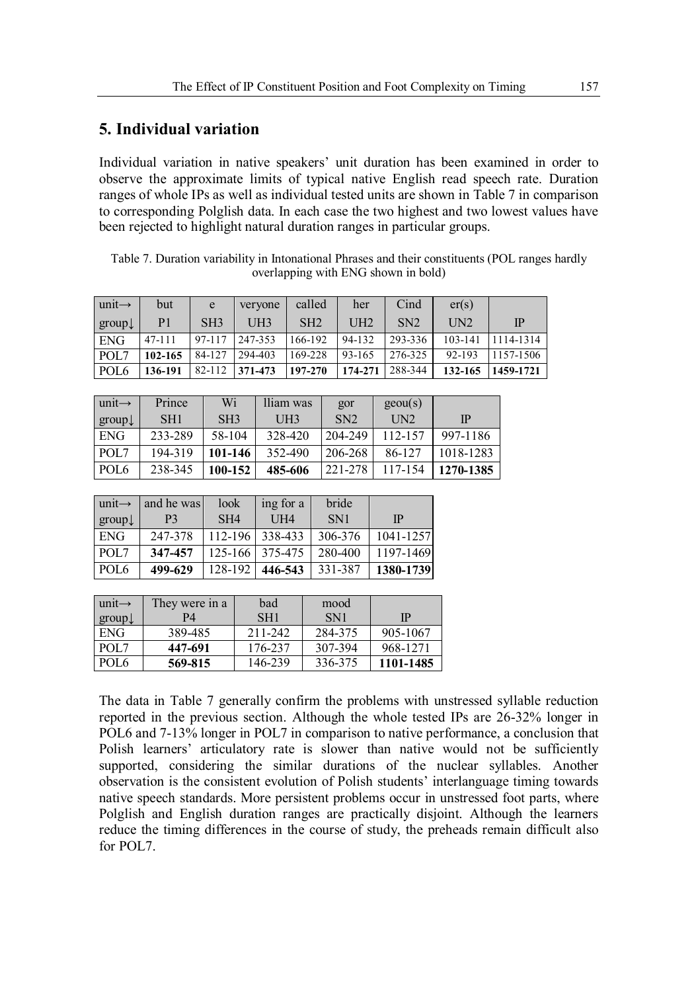# **5. Individual variation**

Individual variation in native speakers' unit duration has been examined in order to observe the approximate limits of typical native English read speech rate. Duration ranges of whole IPs as well as individual tested units are shown in Table 7 in comparison to corresponding Polglish data. In each case the two highest and two lowest values have been rejected to highlight natural duration ranges in particular groups.

| Table 7. Duration variability in Intonational Phrases and their constituents (POL ranges hardly |
|-------------------------------------------------------------------------------------------------|
| overlapping with ENG shown in bold)                                                             |

| $\text{unit} \rightarrow$ | but     | e               | veryone | called          | her             | Cind            | er(s)   |              |
|---------------------------|---------|-----------------|---------|-----------------|-----------------|-----------------|---------|--------------|
| group                     | P1      | SH <sub>3</sub> | UH3     | SH <sub>2</sub> | UH <sub>2</sub> | SN <sub>2</sub> | UN2     | $\mathbb{P}$ |
| <b>ENG</b>                | 47-111  | 97-117          | 247-353 | 166-192         | 94-132          | 293-336         | 103-141 | 1114-1314    |
| POL <sub>7</sub>          | 102-165 | 84-127          | 294-403 | 169-228         | 93-165          | 276-325         | 92-193  | 1157-1506    |
| POL <sub>6</sub>          | 136-191 | 82-112          | 371-473 | 197-270         | 174-271         | 288-344         | 132-165 | 1459-1721    |

| unit $\rightarrow$ | Prince          | Wi              | lliam was | gor             | geou(s) |           |
|--------------------|-----------------|-----------------|-----------|-----------------|---------|-----------|
| group $\downarrow$ | SH <sub>1</sub> | SH <sub>3</sub> | UH3       | SN <sub>2</sub> | IM2     | IP        |
| <b>ENG</b>         | 233-289         | 58-104          | 328-420   | 204-249         | 112-157 | 997-1186  |
| POL7               | 194-319         | $101 - 146$     | 352-490   | 206-268         | 86-127  | 1018-1283 |
| POL <sub>6</sub>   | 238-345         | 100-152         | 485-606   | 221-278         | 117-154 | 1270-1385 |

| unit $\rightarrow$ | and he was | look            | ing for a       | bride           |           |
|--------------------|------------|-----------------|-----------------|-----------------|-----------|
| $group\downarrow$  | P3         | SH <sub>4</sub> | UH4             | SN <sub>1</sub> | IP        |
| <b>ENG</b>         | 247-378    | $112 - 196$     | 338-433         | 306-376         | 1041-1257 |
| POL <sub>7</sub>   | 347-457    |                 | 125-166 375-475 | 280-400         | 1197-1469 |
| POL <sub>6</sub>   | 499-629    | 128-192         | 446-543         | 331-387         | 1380-1739 |

| $unit \rightarrow$ | They were in a | bad             | mood            |           |
|--------------------|----------------|-----------------|-----------------|-----------|
| $\gamma$           | P4             | SH <sub>1</sub> | SN <sub>1</sub> | IP        |
| ENG                | 389-485        | 211-242         | 284-375         | 905-1067  |
| POL7               | 447-691        | 176-237         | 307-394         | 968-1271  |
| POL <sub>6</sub>   | 569-815        | 146-239         | 336-375         | 1101-1485 |

The data in Table 7 generally confirm the problems with unstressed syllable reduction reported in the previous section. Although the whole tested IPs are 26-32% longer in POL6 and 7-13% longer in POL7 in comparison to native performance, a conclusion that Polish learners' articulatory rate is slower than native would not be sufficiently supported, considering the similar durations of the nuclear syllables. Another observation is the consistent evolution of Polish students' interlanguage timing towards native speech standards. More persistent problems occur in unstressed foot parts, where Polglish and English duration ranges are practically disjoint. Although the learners reduce the timing differences in the course of study, the preheads remain difficult also for POL7.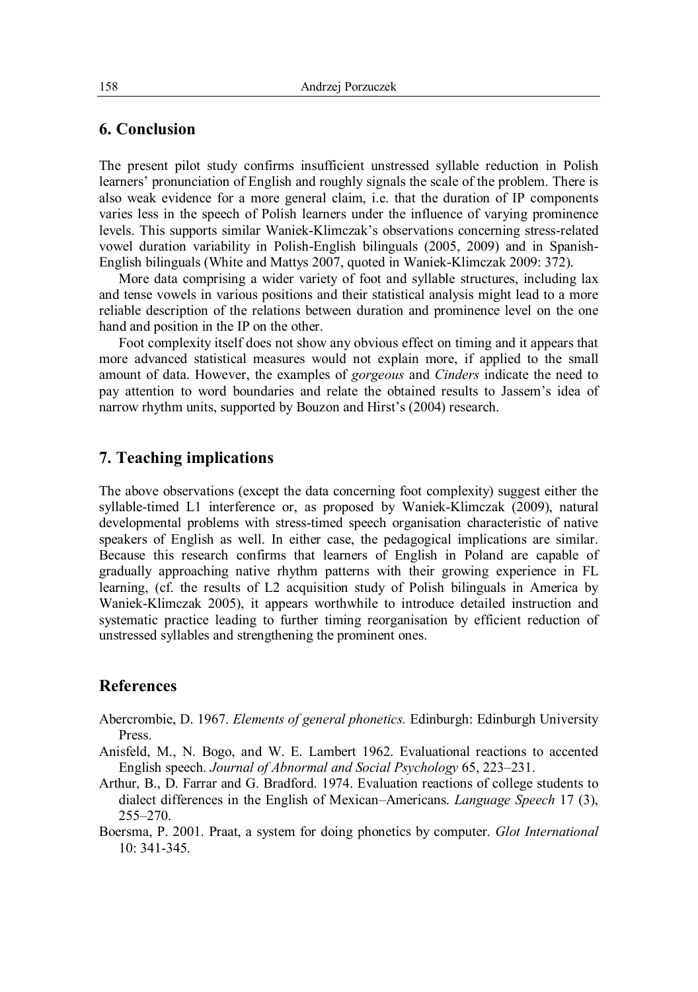## **6. Conclusion**

The present pilot study confirms insufficient unstressed syllable reduction in Polish learners' pronunciation of English and roughly signals the scale of the problem. There is also weak evidence for a more general claim, i.e. that the duration of IP components varies less in the speech of Polish learners under the influence of varying prominence levels. This supports similar Waniek-Klimczak's observations concerning stress-related vowel duration variability in Polish-English bilinguals (2005, 2009) and in Spanish-English bilinguals (White and Mattys 2007, quoted in Waniek-Klimczak 2009: 372).

More data comprising a wider variety of foot and syllable structures, including lax and tense vowels in various positions and their statistical analysis might lead to a more reliable description of the relations between duration and prominence level on the one hand and position in the IP on the other.

Foot complexity itself does not show any obvious effect on timing and it appears that more advanced statistical measures would not explain more, if applied to the small amount of data. However, the examples of *gorgeous* and *Cinders* indicate the need to pay attention to word boundaries and relate the obtained results to Jassem's idea of narrow rhythm units, supported by Bouzon and Hirst's (2004) research.

#### **7. Teaching implications**

The above observations (except the data concerning foot complexity) suggest either the syllable-timed L1 interference or, as proposed by Waniek-Klimczak (2009), natural developmental problems with stress-timed speech organisation characteristic of native speakers of English as well. In either case, the pedagogical implications are similar. Because this research confirms that learners of English in Poland are capable of gradually approaching native rhythm patterns with their growing experience in FL learning, (cf. the results of L2 acquisition study of Polish bilinguals in America by Waniek-Klimczak 2005), it appears worthwhile to introduce detailed instruction and systematic practice leading to further timing reorganisation by efficient reduction of unstressed syllables and strengthening the prominent ones.

#### **References**

- Abercrombie, D. 1967. *Elements of general phonetics.* Edinburgh: Edinburgh University Press.
- Anisfeld, M., N. Bogo, and W. E. Lambert 1962. Evaluational reactions to accented English speech. *Journal of Abnormal and Social Psychology* 65, 223–231.
- Arthur, B., D. Farrar and G. Bradford. 1974. Evaluation reactions of college students to dialect differences in the English of Mexican–Americans. *Language Speech* 17 (3), 255–270.
- Boersma, P. 2001. Praat, a system for doing phonetics by computer. *Glot International*  10: 341-345.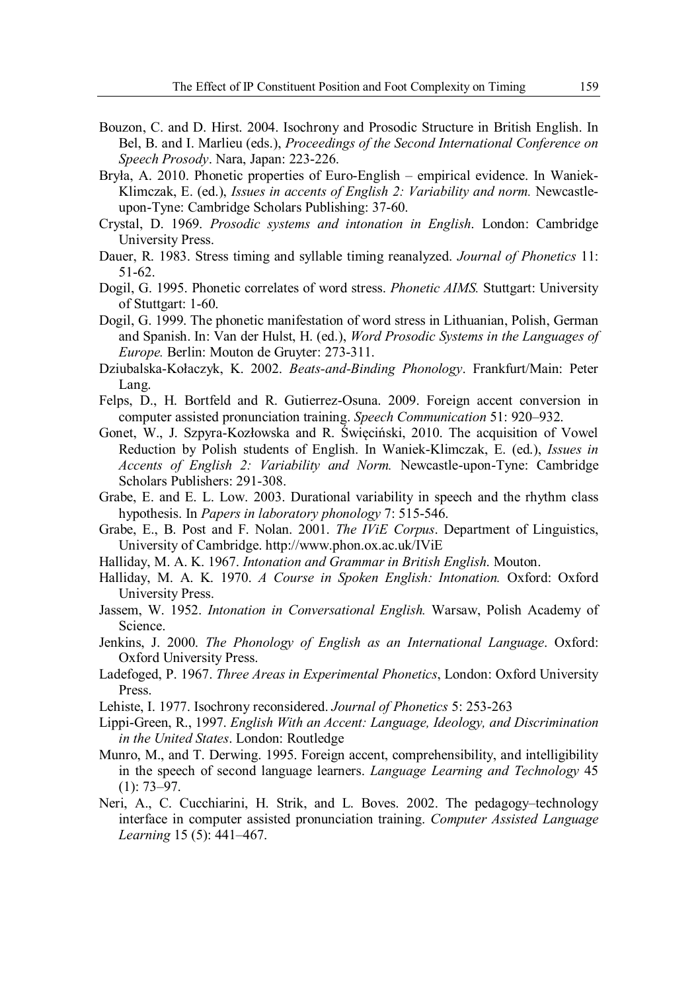- Bouzon, C. and D. Hirst. 2004. Isochrony and Prosodic Structure in British English. In Bel, B. and I. Marlieu (eds.), *Proceedings of the Second International Conference on Speech Prosody*. Nara, Japan: 223-226.
- Bryła, A. 2010. Phonetic properties of Euro-English empirical evidence. In Waniek-Klimczak, E. (ed.), *Issues in accents of English 2: Variability and norm.* Newcastleupon-Tyne: Cambridge Scholars Publishing: 37-60.
- Crystal, D. 1969. *Prosodic systems and intonation in English*. London: Cambridge University Press.
- Dauer, R. 1983. Stress timing and syllable timing reanalyzed. *Journal of Phonetics* 11: 51-62.
- Dogil, G. 1995. Phonetic correlates of word stress. *Phonetic AIMS.* Stuttgart: University of Stuttgart: 1-60.
- Dogil, G. 1999. The phonetic manifestation of word stress in Lithuanian, Polish, German and Spanish. In: Van der Hulst, H. (ed.), *Word Prosodic Systems in the Languages of Europe.* Berlin: Mouton de Gruyter: 273-311.
- Dziubalska-Kołaczyk, K. 2002. *Beats-and-Binding Phonology*. Frankfurt/Main: Peter Lang.
- Felps, D., H. Bortfeld and R. Gutierrez-Osuna. 2009. Foreign accent conversion in computer assisted pronunciation training. *Speech Communication* 51: 920–932.
- Gonet, W., J. Szpyra-Kozłowska and R. Święciński, 2010. The acquisition of Vowel Reduction by Polish students of English. In Waniek-Klimczak, E. (ed.), *Issues in Accents of English 2: Variability and Norm.* Newcastle-upon-Tyne: Cambridge Scholars Publishers: 291-308.
- Grabe, E. and E. L. Low. 2003. Durational variability in speech and the rhythm class hypothesis. In *Papers in laboratory phonology* 7: 515-546.
- Grabe, E., B. Post and F. Nolan. 2001. *The IViE Corpus*. Department of Linguistics, University of Cambridge. http://www.phon.ox.ac.uk/IViE
- Halliday, M. A. K. 1967. *Intonation and Grammar in British English*. Mouton.
- Halliday, M. A. K. 1970. *A Course in Spoken English: Intonation.* Oxford: Oxford University Press.
- Jassem, W. 1952. *Intonation in Conversational English.* Warsaw, Polish Academy of Science.
- Jenkins, J. 2000. *The Phonology of English as an International Language*. Oxford: Oxford University Press.
- Ladefoged, P. 1967. *Three Areas in Experimental Phonetics*, London: Oxford University Press.
- Lehiste, I. 1977. Isochrony reconsidered. *Journal of Phonetics* 5: 253-263
- Lippi-Green, R., 1997. *English With an Accent: Language, Ideology, and Discrimination in the United States*. London: Routledge
- Munro, M., and T. Derwing. 1995. Foreign accent, comprehensibility, and intelligibility in the speech of second language learners. *Language Learning and Technology* 45 (1): 73–97.
- Neri, A., C. Cucchiarini, H. Strik, and L. Boves. 2002. The pedagogy–technology interface in computer assisted pronunciation training. *Computer Assisted Language Learning* 15 (5): 441–467.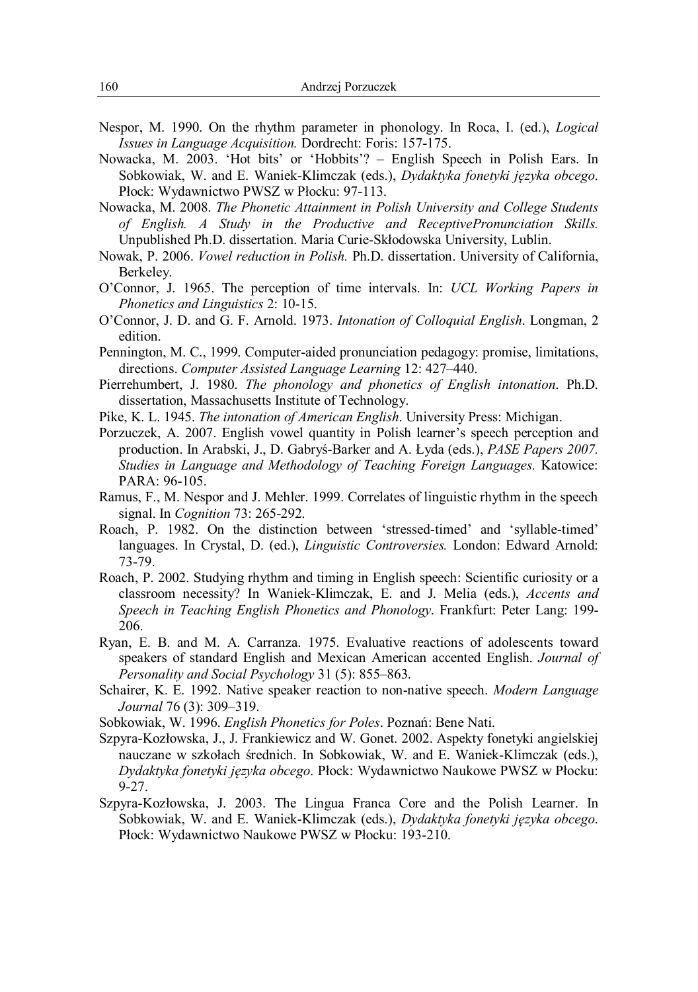- Nespor, M. 1990. On the rhythm parameter in phonology. In Roca, I. (ed.), *Logical Issues in Language Acquisition.* Dordrecht: Foris: 157-175.
- Nowacka, M. 2003. 'Hot bits' or 'Hobbits'? English Speech in Polish Ears. In Sobkowiak, W. and E. Waniek-Klimczak (eds.), *Dydaktyka fonetyki języka obcego*. Płock: Wydawnictwo PWSZ w Płocku: 97-113.
- Nowacka, M. 2008. *The Phonetic Attainment in Polish University and College Students of English. A Study in the Productive and ReceptivePronunciation Skills.*  Unpublished Ph.D. dissertation. Maria Curie-Skłodowska University, Lublin.
- Nowak, P. 2006. *Vowel reduction in Polish.* Ph.D. dissertation. University of California, Berkeley.
- O'Connor, J. 1965. The perception of time intervals. In: *UCL Working Papers in Phonetics and Linguistics* 2: 10-15.
- O'Connor, J. D. and G. F. Arnold. 1973. *Intonation of Colloquial English*. Longman, 2 edition.
- Pennington, M. C., 1999. Computer-aided pronunciation pedagogy: promise, limitations, directions. *Computer Assisted Language Learning* 12: 427–440.
- Pierrehumbert, J. 1980. *The phonology and phonetics of English intonation*. Ph.D. dissertation, Massachusetts Institute of Technology.
- Pike, K. L. 1945. *The intonation of American English*. University Press: Michigan.
- Porzuczek, A. 2007. English vowel quantity in Polish learner's speech perception and production. In Arabski, J., D. Gabryś-Barker and A. Łyda (eds.), *PASE Papers 2007. Studies in Language and Methodology of Teaching Foreign Languages.* Katowice: PARA: 96-105.
- Ramus, F., M. Nespor and J. Mehler. 1999. Correlates of linguistic rhythm in the speech signal. In *Cognition* 73: 265-292.
- Roach, P. 1982. On the distinction between 'stressed-timed' and 'syllable-timed' languages. In Crystal, D. (ed.), *Linguistic Controversies.* London: Edward Arnold: 73-79.
- Roach, P. 2002. Studying rhythm and timing in English speech: Scientific curiosity or a classroom necessity? In Waniek-Klimczak, E. and J. Melia (eds.), *Accents and Speech in Teaching English Phonetics and Phonology*. Frankfurt: Peter Lang: 199- 206.
- Ryan, E. B. and M. A. Carranza. 1975. Evaluative reactions of adolescents toward speakers of standard English and Mexican American accented English. *Journal of Personality and Social Psychology* 31 (5): 855–863.
- Schairer, K. E. 1992. Native speaker reaction to non-native speech. *Modern Language Journal* 76 (3): 309–319.
- Sobkowiak, W. 1996. *English Phonetics for Poles*. Poznań: Bene Nati.
- Szpyra-Kozłowska, J., J. Frankiewicz and W. Gonet. 2002. Aspekty fonetyki angielskiej nauczane w szkołach średnich. In Sobkowiak, W. and E. Waniek-Klimczak (eds.), *Dydaktyka fonetyki języka obcego*. Płock: Wydawnictwo Naukowe PWSZ w Płocku: 9-27.
- Szpyra-Kozłowska, J. 2003. The Lingua Franca Core and the Polish Learner. In Sobkowiak, W. and E. Waniek-Klimczak (eds.), *Dydaktyka fonetyki języka obcego*. Płock: Wydawnictwo Naukowe PWSZ w Płocku: 193-210.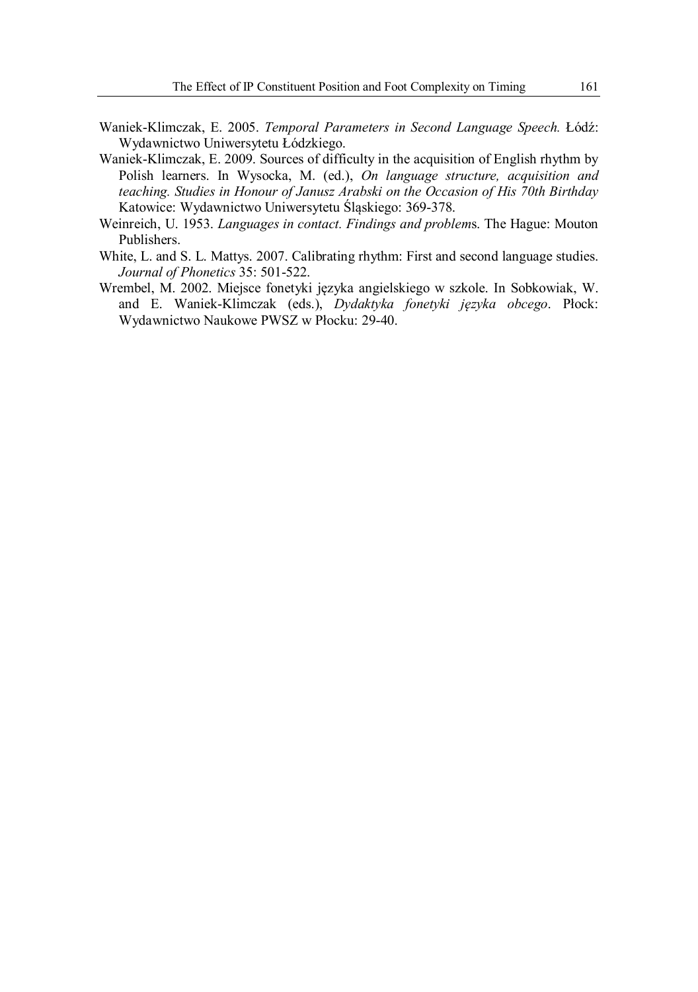- Waniek-Klimczak, E. 2005. *Temporal Parameters in Second Language Speech.* Łódź: Wydawnictwo Uniwersytetu Łódzkiego.
- Waniek-Klimczak, E. 2009. Sources of difficulty in the acquisition of English rhythm by Polish learners. In Wysocka, M. (ed.), *On language structure, acquisition and teaching. Studies in Honour of Janusz Arabski on the Occasion of His 70th Birthday*  Katowice: Wydawnictwo Uniwersytetu Śląskiego: 369-378.
- Weinreich, U. 1953. *Languages in contact. Findings and problem*s. The Hague: Mouton Publishers.
- White, L. and S. L. Mattys. 2007. Calibrating rhythm: First and second language studies. *Journal of Phonetics* 35: 501-522.
- Wrembel, M. 2002. Miejsce fonetyki języka angielskiego w szkole. In Sobkowiak, W. and E. Waniek-Klimczak (eds.), *Dydaktyka fonetyki języka obcego*. Płock: Wydawnictwo Naukowe PWSZ w Płocku: 29-40.